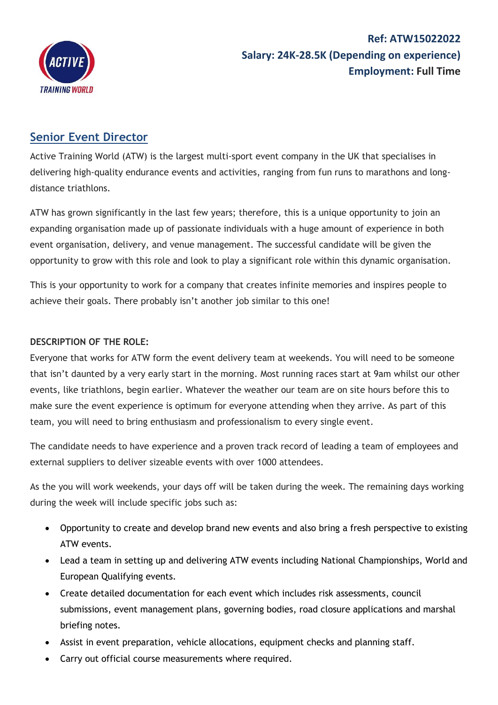

## **Ref: ATW15022022 Salary: 24K-28.5K (Depending on experience) Employment: Full Time**

## **Senior Event Director**

Active Training World (ATW) is the largest multi-sport event company in the UK that specialises in delivering high-quality endurance events and activities, ranging from fun runs to marathons and longdistance triathlons.

ATW has grown significantly in the last few years; therefore, this is a unique opportunity to join an expanding organisation made up of passionate individuals with a huge amount of experience in both event organisation, delivery, and venue management. The successful candidate will be given the opportunity to grow with this role and look to play a significant role within this dynamic organisation.

This is your opportunity to work for a company that creates infinite memories and inspires people to achieve their goals. There probably isn't another job similar to this one!

## **DESCRIPTION OF THE ROLE:**

Everyone that works for ATW form the event delivery team at weekends. You will need to be someone that isn't daunted by a very early start in the morning. Most running races start at 9am whilst our other events, like triathlons, begin earlier. Whatever the weather our team are on site hours before this to make sure the event experience is optimum for everyone attending when they arrive. As part of this team, you will need to bring enthusiasm and professionalism to every single event.

The candidate needs to have experience and a proven track record of leading a team of employees and external suppliers to deliver sizeable events with over 1000 attendees.

As the you will work weekends, your days off will be taken during the week. The remaining days working during the week will include specific jobs such as:

- Opportunity to create and develop brand new events and also bring a fresh perspective to existing ATW events.
- Lead a team in setting up and delivering ATW events including National Championships, World and European Qualifying events.
- Create detailed documentation for each event which includes risk assessments, council submissions, event management plans, governing bodies, road closure applications and marshal briefing notes.
- Assist in event preparation, vehicle allocations, equipment checks and planning staff.
- Carry out official course measurements where required.